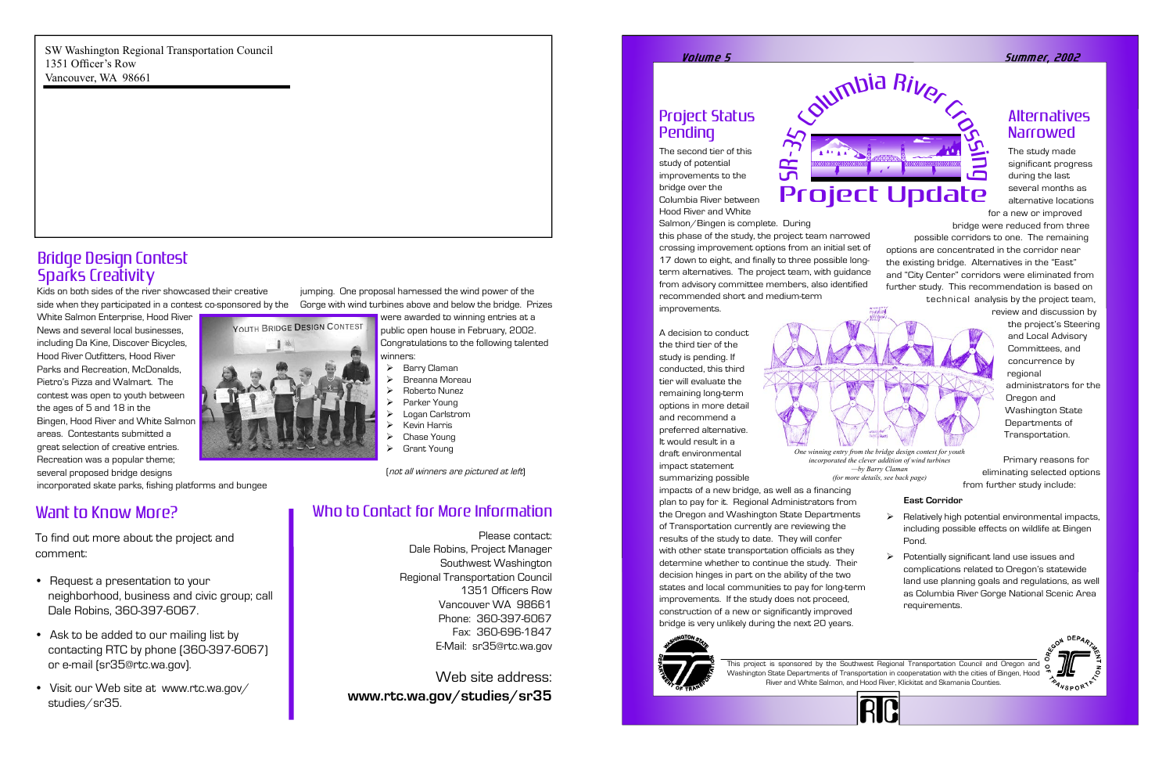### Project Status Pending

The second tier of this study of potential improvements to the bridge over the Columbia River between Hood River and White

Salmon/Bingen is complete. During

this phase of the study, the project team narrowed crossing improvement options from an initial set of 17 down to eight, and finally to three possible longterm alternatives. The project team, with guidance from advisory committee members, also identified recommended short and medium-term improvements.

A decision to conduct the third tier of the study is pending. If conducted, this third tier will evaluate the remaining long-term options in more detail and recommend a preferred alternative. It would result in a draft environmental impact statement summarizing possible

### Alternatives **Narrowed**

impacts of a new bridge, as well as a financing plan to pay for it. Regional Administrators from the Oregon and Washington State Departments of Transportation currently are reviewing the results of the study to date. They will confer with other state transportation officials as they determine whether to continue the study. Their decision hinges in part on the ability of the two states and local communities to pay for long-term improvements. If the study does not proceed, construction of a new or significantly improved bridge is very unlikely during the next 20 years.

- $\triangleright$  Relatively high potential environmental impacts, including possible effects on wildlife at Bingen Pond.
- $\triangleright$  Potentially significant land use issues and complications related to Oregon's statewide land use planning goals and regulations, as well as Columbia River Gorge National Scenic Area requirements.







The study made significant progress during the last several months as alternative locations for a new or improved

bridge were reduced from three possible corridors to one. The remaining options are concentrated in the corridor near the existing bridge. Alternatives in the "East" and "City Center" corridors were eliminated from further study. This recommendation is based on technical analysis by the project team,

> the project's Steering and Local Advisory Committees, and concurrence by regional administrators for the Oregon and Washington State Departments of Transportation.

Primary reasons for eliminating selected options from further study include:

#### **East Corridor**

- $\triangleright$  Barry Claman
- $\triangleright$  Breanna Moreau
- Ø Roberto Nunez
- Parker Young
- Logan Carlstrom
- Kevin Harris
- Chase Young
- Ø Grant Young



#### Volum e 5 Summ er, 2002

This project is sponsored by the Southwest Regional Transportation Council and Oregon and Washington State Departments of Transportation in cooperatation with the cities of Bingen, Hood River and White Salmon, and Hood River, Klickitat and Skamania Counties.



YOUTH BRIDGE DESIGN CONTEST

# Who to Contact for More Information

Please contact: Dale Robins, Project Manager Southwest Washington Regional Transportation Council 1351 Officers Row Vancouver WA 98661 Phone: 360-397-6067 Fax: 360-696-1847 E-Mail: sr35@rtc.wa.gov

Web site address: **www.rtc.wa.gov/studies/sr35**

SW Washington Regional Transportation Council 1351 Officer's Row Vancouver, WA 98661

# Want to Know More?

To find out more about the project and comment:



- Request a presentation to your neighborhood, business and civic group; call Dale Robins, 360-397-6067.
- Ask to be added to our mailing list by contacting RTC by phone (360-397-6067) or e-mail (sr35@rtc.wa.gov).
- Visit our Web site at www.rtc.wa.gov/ studies/sr35.

Kids on both sides of the river showcased their creative side when they participated in a contest co-sponsored by the

White Salmon Enterprise, Hood River News and several local businesses, including Da Kine, Discover Bicycles, Hood River Outfitters, Hood River Parks and Recreation, McDonalds, Pietro's Pizza and Walmart. The contest was open to youth between the ages of 5 and 18 in the Bingen, Hood River and White Salmon areas. Contestants submitted a great selection of creative entries. Recreation was a popular theme; several proposed bridge designs

incorporated skate parks, fishing platforms and bungee

jumping. One proposal harnessed the wind power of the Gorge with wind turbines above and below the bridge. Prizes

were awarded to winning entries at a public open house in February, 2002. Congratulations to the following talented winners:

### Bridge Design Contest Sparks Creativity

(not all winners are pictured at left)

*incorporated the clever addition of wind turbines —by Barry Claman (for more details, see back page)*